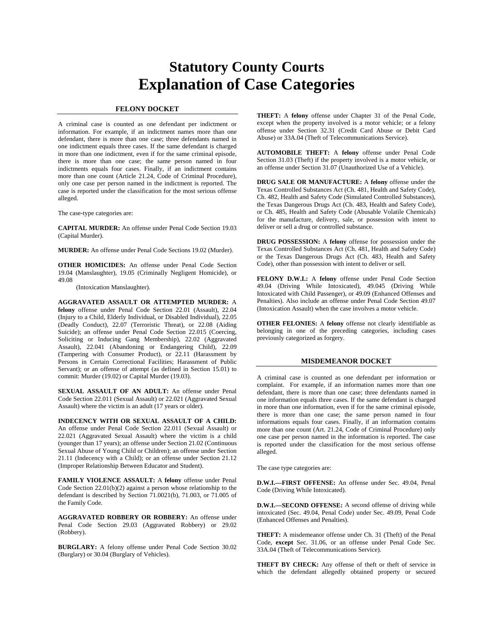# **Statutory County Courts Explanation of Case Categories**

### **FELONY DOCKET**

A criminal case is counted as one defendant per indictment or information. For example, if an indictment names more than one defendant, there is more than one case; three defendants named in one indictment equals three cases. If the same defendant is charged in more than one indictment, even if for the same criminal episode, there is more than one case; the same person named in four indictments equals four cases. Finally, if an indictment contains more than one count (Article 21.24, Code of Criminal Procedure), only one case per person named in the indictment is reported. The case is reported under the classification for the most serious offense alleged.

The case-type categories are:

**CAPITAL MURDER:** An offense under Penal Code Section 19.03 (Capital Murder).

**MURDER:** An offense under Penal Code Sections 19.02 (Murder).

**OTHER HOMICIDES:** An offense under Penal Code Section 19.04 (Manslaughter), 19.05 (Criminally Negligent Homicide), or 49.08

(Intoxication Manslaughter).

**AGGRAVATED ASSAULT OR ATTEMPTED MURDER:** A **felony** offense under Penal Code Section 22.01 (Assault), 22.04 (Injury to a Child, Elderly Individual, or Disabled Individual), 22.05 (Deadly Conduct), 22.07 (Terroristic Threat), or 22.08 (Aiding Suicide); an offense under Penal Code Section 22.015 (Coercing, Soliciting or Inducing Gang Membership), 22.02 (Aggravated Assault), 22.041 (Abandoning or Endangering Child), 22.09 (Tampering with Consumer Product), or 22.11 (Harassment by Persons in Certain Correctional Facilities; Harassment of Public Servant); or an offense of attempt (as defined in Section 15.01) to commit: Murder (19.02) or Capital Murder (19.03).

**SEXUAL ASSAULT OF AN ADULT:** An offense under Penal Code Section 22.011 (Sexual Assault) or 22.021 (Aggravated Sexual Assault) where the victim is an adult (17 years or older).

**INDECENCY WITH OR SEXUAL ASSAULT OF A CHILD:** An offense under Penal Code Section 22.011 (Sexual Assault) or 22.021 (Aggravated Sexual Assault) where the victim is a child (younger than 17 years); an offense under Section 21.02 (Continuous Sexual Abuse of Young Child or Children); an offense under Section 21.11 (Indecency with a Child); or an offense under Section 21.12 (Improper Relationship Between Educator and Student).

**FAMILY VIOLENCE ASSAULT:** A **felony** offense under Penal Code Section 22.01(b)(2) against a person whose relationship to the defendant is described by Section 71.0021(b), 71.003, or 71.005 of the Family Code.

**AGGRAVATED ROBBERY OR ROBBERY:** An offense under Penal Code Section 29.03 (Aggravated Robbery) or 29.02 (Robbery).

**BURGLARY:** A felony offense under Penal Code Section 30.02 (Burglary) or 30.04 (Burglary of Vehicles).

**THEFT:** A **felony** offense under Chapter 31 of the Penal Code, except when the property involved is a motor vehicle; or a felony offense under Section 32.31 (Credit Card Abuse or Debit Card Abuse) or 33A.04 (Theft of Telecommunications Service).

**AUTOMOBILE THEFT:** A **felony** offense under Penal Code Section 31.03 (Theft) if the property involved is a motor vehicle, or an offense under Section 31.07 (Unauthorized Use of a Vehicle).

**DRUG SALE OR MANUFACTURE:** A **felony** offense under the Texas Controlled Substances Act (Ch. 481, Health and Safety Code), Ch. 482, Health and Safety Code (Simulated Controlled Substances), the Texas Dangerous Drugs Act (Ch. 483, Health and Safety Code), or Ch. 485, Health and Safety Code (Abusable Volatile Chemicals) for the manufacture, delivery, sale, or possession with intent to deliver or sell a drug or controlled substance.

**DRUG POSSESSION:** A **felony** offense for possession under the Texas Controlled Substances Act (Ch. 481, Health and Safety Code) or the Texas Dangerous Drugs Act (Ch. 483, Health and Safety Code), other than possession with intent to deliver or sell.

**FELONY D.W.I.:** A **felony** offense under Penal Code Section 49.04 (Driving While Intoxicated), 49.045 (Driving While Intoxicated with Child Passenger), or 49.09 (Enhanced Offenses and Penalties). Also include an offense under Penal Code Section 49.07 (Intoxication Assault) when the case involves a motor vehicle.

**OTHER FELONIES:** A **felony** offense not clearly identifiable as belonging in one of the preceding categories, including cases previously categorized as forgery.

#### **MISDEMEANOR DOCKET**

A criminal case is counted as one defendant per information or complaint. For example, if an information names more than one defendant, there is more than one case; three defendants named in one information equals three cases. If the same defendant is charged in more than one information, even if for the same criminal episode, there is more than one case; the same person named in four informations equals four cases. Finally, if an information contains more than one count (Art. 21.24, Code of Criminal Procedure) only one case per person named in the information is reported. The case is reported under the classification for the most serious offense alleged.

The case type categories are:

**D.W.I.—FIRST OFFENSE:** An offense under Sec. 49.04, Penal Code (Driving While Intoxicated).

**D.W.I.—SECOND OFFENSE:** A second offense of driving while intoxicated (Sec. 49.04, Penal Code) under Sec. 49.09, Penal Code (Enhanced Offenses and Penalties).

**THEFT:** A misdemeanor offense under Ch. 31 (Theft) of the Penal Code, **except** Sec. 31.06, or an offense under Penal Code Sec. 33A.04 (Theft of Telecommunications Service).

**THEFT BY CHECK:** Any offense of theft or theft of service in which the defendant allegedly obtained property or secured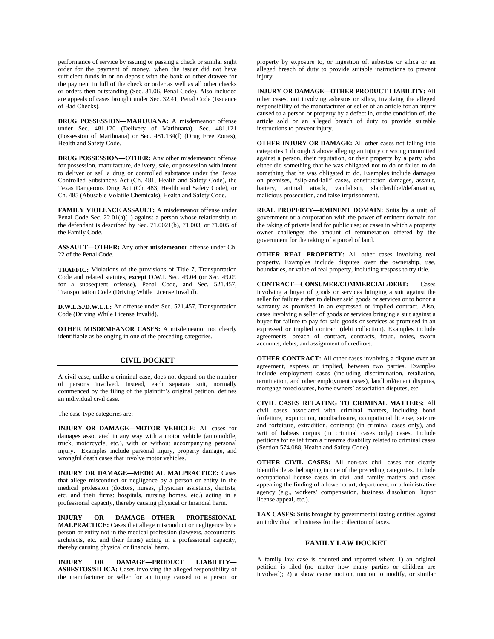performance of service by issuing or passing a check or similar sight order for the payment of money, when the issuer did not have sufficient funds in or on deposit with the bank or other drawee for the payment in full of the check or order as well as all other checks or orders then outstanding (Sec. 31.06, Penal Code). Also included are appeals of cases brought under Sec. 32.41, Penal Code (Issuance of Bad Checks).

**DRUG POSSESSION—MARIJUANA:** A misdemeanor offense under Sec. 481.120 (Delivery of Marihuana), Sec. 481.121 (Possession of Marihuana) or Sec. 481.134(f) (Drug Free Zones), Health and Safety Code.

**DRUG POSSESSION—OTHER:** Any other misdemeanor offense for possession, manufacture, delivery, sale, or possession with intent to deliver or sell a drug or controlled substance under the Texas Controlled Substances Act (Ch. 481, Health and Safety Code), the Texas Dangerous Drug Act (Ch. 483, Health and Safety Code), or Ch. 485 (Abusable Volatile Chemicals), Health and Safety Code.

**FAMILY VIOLENCE ASSAULT:** A misdemeanor offense under Penal Code Sec.  $22.01(a)(1)$  against a person whose relationship to the defendant is described by Sec. 71.0021(b), 71.003, or 71.005 of the Family Code.

**ASSAULT—OTHER:** Any other **misdemeanor** offense under Ch. 22 of the Penal Code.

**TRAFFIC:** Violations of the provisions of Title 7, Transportation Code and related statutes, **except** D.W.I. Sec. 49.04 (or Sec. 49.09 for a subsequent offense), Penal Code, and Sec. 521.457, Transportation Code (Driving While License Invalid).

**D.W.L.S./D.W.L.I.:** An offense under Sec. 521.457, Transportation Code (Driving While License Invalid).

**OTHER MISDEMEANOR CASES:** A misdemeanor not clearly identifiable as belonging in one of the preceding categories.

### **CIVIL DOCKET**

A civil case, unlike a criminal case, does not depend on the number of persons involved. Instead, each separate suit, normally commenced by the filing of the plaintiff's original petition, defines an individual civil case.

The case-type categories are:

**INJURY OR DAMAGE—MOTOR VEHICLE:** All cases for damages associated in any way with a motor vehicle (automobile, truck, motorcycle, etc.), with or without accompanying personal injury. Examples include personal injury, property damage, and wrongful death cases that involve motor vehicles.

**INJURY OR DAMAGE—MEDICAL MALPRACTICE:** Cases that allege misconduct or negligence by a person or entity in the medical profession (doctors, nurses, physician assistants, dentists, etc. and their firms: hospitals, nursing homes, etc.) acting in a professional capacity, thereby causing physical or financial harm.

**INJURY OR DAMAGE—OTHER PROFESSIONAL MALPRACTICE:** Cases that allege misconduct or negligence by a person or entity not in the medical profession (lawyers, accountants, architects, etc. and their firms) acting in a professional capacity, thereby causing physical or financial harm.

**INJURY OR DAMAGE—PRODUCT LIABILITY— ASBESTOS/SILICA:** Cases involving the alleged responsibility of the manufacturer or seller for an injury caused to a person or

property by exposure to, or ingestion of, asbestos or silica or an alleged breach of duty to provide suitable instructions to prevent injury.

**INJURY OR DAMAGE—OTHER PRODUCT LIABILITY:** All other cases, not involving asbestos or silica, involving the alleged responsibility of the manufacturer or seller of an article for an injury caused to a person or property by a defect in, or the condition of, the article sold or an alleged breach of duty to provide suitable instructions to prevent injury.

**OTHER INJURY OR DAMAGE:** All other cases not falling into categories 1 through 5 above alleging an injury or wrong committed against a person, their reputation, or their property by a party who either did something that he was obligated not to do or failed to do something that he was obligated to do. Examples include damages on premises, "slip-and-fall" cases, construction damages, assault, battery, animal attack, vandalism, slander/libel/defamation, malicious prosecution, and false imprisonment.

**REAL PROPERTY—EMINENT DOMAIN:** Suits by a unit of government or a corporation with the power of eminent domain for the taking of private land for public use; or cases in which a property owner challenges the amount of remuneration offered by the government for the taking of a parcel of land.

**OTHER REAL PROPERTY:** All other cases involving real property. Examples include disputes over the ownership, use, boundaries, or value of real property, including trespass to try title.

**CONTRACT—CONSUMER/COMMERCIAL/DEBT:** Cases involving a buyer of goods or services bringing a suit against the seller for failure either to deliver said goods or services or to honor a warranty as promised in an expressed or implied contract. Also, cases involving a seller of goods or services bringing a suit against a buyer for failure to pay for said goods or services as promised in an expressed or implied contract (debt collection). Examples include agreements, breach of contract, contracts, fraud, notes, sworn accounts, debts, and assignment of creditors.

**OTHER CONTRACT:** All other cases involving a dispute over an agreement, express or implied, between two parties. Examples include employment cases (including discrimination, retaliation, termination, and other employment cases), landlord/tenant disputes, mortgage foreclosures, home owners' association disputes, etc.

**CIVIL CASES RELATING TO CRIMINAL MATTERS:** All civil cases associated with criminal matters, including bond forfeiture, expunction, nondisclosure, occupational license, seizure and forfeiture, extradition, contempt (in criminal cases only), and writ of habeas corpus (in criminal cases only) cases. Include petitions for relief from a firearms disability related to criminal cases (Section 574.088, Health and Safety Code).

**OTHER CIVIL CASES:** All non-tax civil cases not clearly identifiable as belonging in one of the preceding categories. Include occupational license cases in civil and family matters and cases appealing the finding of a lower court, department, or administrative agency (e.g., workers' compensation, business dissolution, liquor license appeal, etc.).

**TAX CASES:** Suits brought by governmental taxing entities against an individual or business for the collection of taxes.

## **FAMILY LAW DOCKET**

A family law case is counted and reported when: 1) an original petition is filed (no matter how many parties or children are involved); 2) a show cause motion, motion to modify, or similar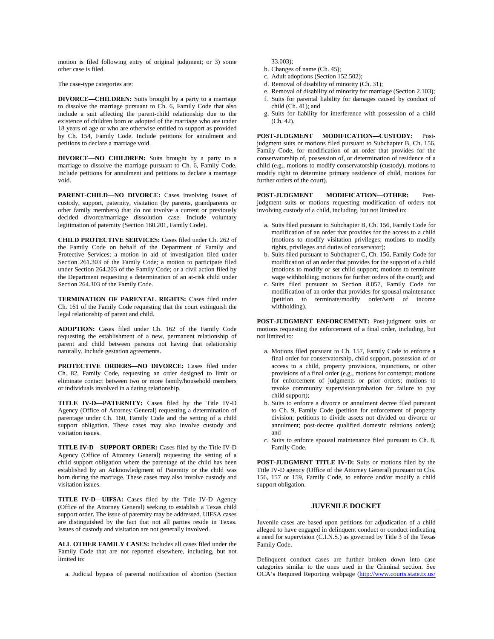motion is filed following entry of original judgment; or 3) some other case is filed.

The case-type categories are:

**DIVORCE—CHILDREN:** Suits brought by a party to a marriage to dissolve the marriage pursuant to Ch. 6, Family Code that also include a suit affecting the parent-child relationship due to the existence of children born or adopted of the marriage who are under 18 years of age or who are otherwise entitled to support as provided by Ch. 154, Family Code. Include petitions for annulment and petitions to declare a marriage void.

**DIVORCE—NO CHILDREN:** Suits brought by a party to a marriage to dissolve the marriage pursuant to Ch. 6, Family Code. Include petitions for annulment and petitions to declare a marriage void.

**PARENT-CHILD—NO DIVORCE:** Cases involving issues of custody, support, paternity, visitation (by parents, grandparents or other family members) that do not involve a current or previously decided divorce/marriage dissolution case. Include voluntary legitimation of paternity (Section 160.201, Family Code).

**CHILD PROTECTIVE SERVICES:** Cases filed under Ch. 262 of the Family Code on behalf of the Department of Family and Protective Services; a motion in aid of investigation filed under Section 261.303 of the Family Code; a motion to participate filed under Section 264.203 of the Family Code; or a civil action filed by the Department requesting a determination of an at-risk child under Section 264.303 of the Family Code.

**TERMINATION OF PARENTAL RIGHTS:** Cases filed under Ch. 161 of the Family Code requesting that the court extinguish the legal relationship of parent and child.

**ADOPTION:** Cases filed under Ch. 162 of the Family Code requesting the establishment of a new, permanent relationship of parent and child between persons not having that relationship naturally. Include gestation agreements.

**PROTECTIVE ORDERS—NO DIVORCE:** Cases filed under Ch. 82, Family Code, requesting an order designed to limit or eliminate contact between two or more family/household members or individuals involved in a dating relationship.

**TITLE IV-D—PATERNITY:** Cases filed by the Title IV-D Agency (Office of Attorney General) requesting a determination of parentage under Ch. 160, Family Code and the setting of a child support obligation. These cases may also involve custody and visitation issues.

**TITLE IV-D—SUPPORT ORDER:** Cases filed by the Title IV-D Agency (Office of Attorney General) requesting the setting of a child support obligation where the parentage of the child has been established by an Acknowledgment of Paternity or the child was born during the marriage. These cases may also involve custody and visitation issues.

**TITLE IV-D—UIFSA:** Cases filed by the Title IV-D Agency (Office of the Attorney General) seeking to establish a Texas child support order. The issue of paternity may be addressed. UIFSA cases are distinguished by the fact that not all parties reside in Texas. Issues of custody and visitation are not generally involved.

**ALL OTHER FAMILY CASES:** Includes all cases filed under the Family Code that are not reported elsewhere, including, but not limited to:

a. Judicial bypass of parental notification of abortion (Section

33.003);

- b. Changes of name (Ch. 45);
- c. Adult adoptions (Section 152.502);
- d. Removal of disability of minority (Ch. 31);
- e. Removal of disability of minority for marriage (Section 2.103); f. Suits for parental liability for damages caused by conduct of child (Ch. 41); and
- g. Suits for liability for interference with possession of a child (Ch. 42).

**POST-JUDGMENT MODIFICATION—CUSTODY:** Postjudgment suits or motions filed pursuant to Subchapter B, Ch. 156, Family Code, for modification of an order that provides for the conservatorship of, possession of, or determination of residence of a child (e.g., motions to modify conservatorship (custody), motions to modify right to determine primary residence of child, motions for further orders of the court).

**POST-JUDGMENT MODIFICATION—OTHER:** Postjudgment suits or motions requesting modification of orders not involving custody of a child, including, but not limited to:

- a. Suits filed pursuant to Subchapter B, Ch. 156, Family Code for modification of an order that provides for the access to a child (motions to modify visitation privileges; motions to modify rights, privileges and duties of conservator);
- b. Suits filed pursuant to Subchapter C, Ch. 156, Family Code for modification of an order that provides for the support of a child (motions to modify or set child support; motions to terminate wage withholding; motions for further orders of the court); and
- c. Suits filed pursuant to Section 8.057, Family Code for modification of an order that provides for spousal maintenance (petition to terminate/modify order/writ of income withholding).

**POST-JUDGMENT ENFORCEMENT:** Post-judgment suits or motions requesting the enforcement of a final order, including, but not limited to:

- a. Motions filed pursuant to Ch. 157, Family Code to enforce a final order for conservatorship, child support, possession of or access to a child, property provisions, injunctions, or other provisions of a final order (e.g., motions for contempt; motions for enforcement of judgments or prior orders; motions to revoke community supervision/probation for failure to pay child support);
- b. Suits to enforce a divorce or annulment decree filed pursuant to Ch. 9, Family Code (petition for enforcement of property division; petitions to divide assets not divided on divorce or annulment; post-decree qualified domestic relations orders); and
- c. Suits to enforce spousal maintenance filed pursuant to Ch. 8, Family Code.

**POST-JUDGMENT TITLE IV-D:** Suits or motions filed by the Title IV-D agency (Office of the Attorney General) pursuant to Chs. 156, 157 or 159, Family Code, to enforce and/or modify a child support obligation.

#### **JUVENILE DOCKET**

Juvenile cases are based upon petitions for adjudication of a child alleged to have engaged in delinquent conduct or conduct indicating a need for supervision (C.I.N.S.) as governed by Title 3 of the Texas Family Code.

Delinquent conduct cases are further broken down into case categories similar to the ones used in the Criminal section. See OCA's Required Reporting webpage [\(http://www.courts.state.tx.us/](http://www.courts.state.tx.us/%20oca/required.asp)